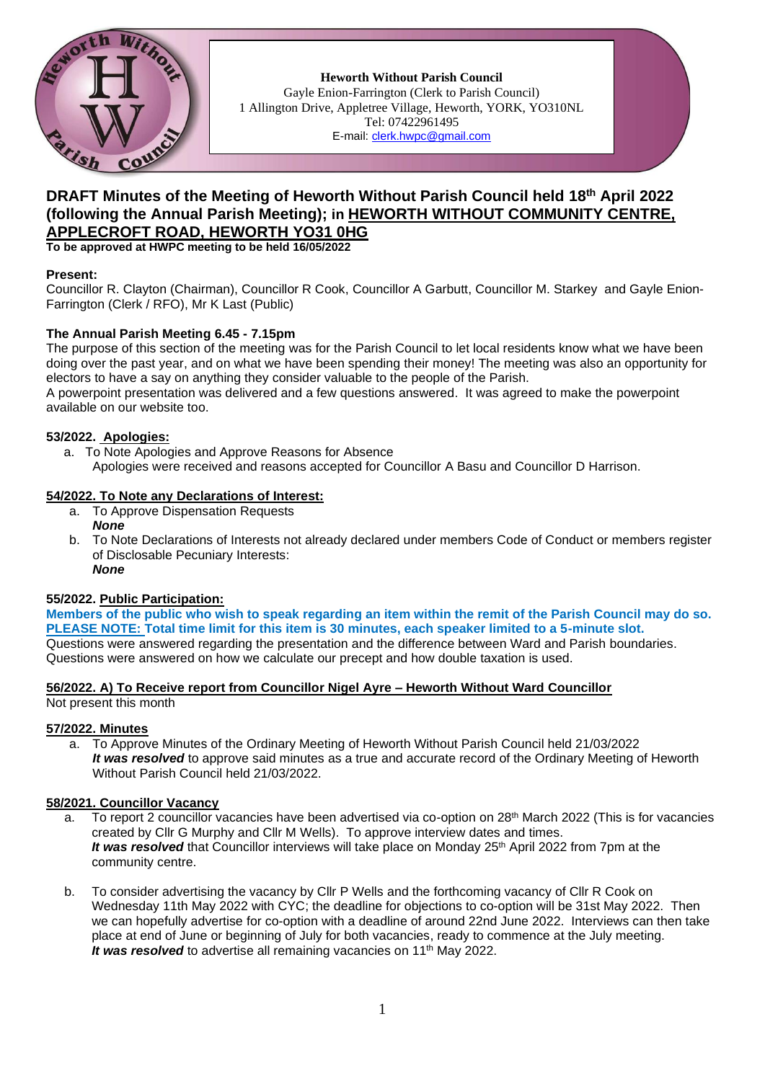

**Heworth Without Parish Council** Gayle Enion-Farrington (Clerk to Parish Council) 1 Allington Drive, Appletree Village, Heworth, YORK, YO310NL Tel: 07422961495 E-mail: [clerk.hwpc@gmail.com](file:///C:/ronal/AppData/ronal/AppData/MINUTES/clerk.hwpc@gmail.com)

# **DRAFT Minutes of the Meeting of Heworth Without Parish Council held 18th April 2022 (following the Annual Parish Meeting); in HEWORTH WITHOUT COMMUNITY CENTRE, APPLECROFT ROAD, HEWORTH YO31 0HG**

**To be approved at HWPC meeting to be held 16/05/2022**

### **Present:**

Councillor R. Clayton (Chairman), Councillor R Cook, Councillor A Garbutt, Councillor M. Starkey and Gayle Enion-Farrington (Clerk / RFO), Mr K Last (Public)

### **The Annual Parish Meeting 6.45 - 7.15pm**

The purpose of this section of the meeting was for the Parish Council to let local residents know what we have been doing over the past year, and on what we have been spending their money! The meeting was also an opportunity for electors to have a say on anything they consider valuable to the people of the Parish.

A powerpoint presentation was delivered and a few questions answered. It was agreed to make the powerpoint available on our website too.

### **53/2022. Apologies:**

- a. To Note Apologies and Approve Reasons for Absence
	- Apologies were received and reasons accepted for Councillor A Basu and Councillor D Harrison.

### **54/2022. To Note any Declarations of Interest:**

- a. To Approve Dispensation Requests *None*
- b. To Note Declarations of Interests not already declared under members Code of Conduct or members register of Disclosable Pecuniary Interests: *None*

### **55/2022. Public Participation:**

**Members of the public who wish to speak regarding an item within the remit of the Parish Council may do so. PLEASE NOTE: Total time limit for this item is 30 minutes, each speaker limited to a 5-minute slot.** Questions were answered regarding the presentation and the difference between Ward and Parish boundaries. Questions were answered on how we calculate our precept and how double taxation is used.

#### **56/2022. A) To Receive report from Councillor Nigel Ayre – Heworth Without Ward Councillor**

Not present this month

#### **57/2022. Minutes**

a. To Approve Minutes of the Ordinary Meeting of Heworth Without Parish Council held 21/03/2022 *It was resolved* to approve said minutes as a true and accurate record of the Ordinary Meeting of Heworth Without Parish Council held 21/03/2022.

#### **58/2021. Councillor Vacancy**

- a. To report 2 councillor vacancies have been advertised via co-option on 28<sup>th</sup> March 2022 (This is for vacancies created by Cllr G Murphy and Cllr M Wells). To approve interview dates and times. It was resolved that Councillor interviews will take place on Monday 25<sup>th</sup> April 2022 from 7pm at the community centre.
- b. To consider advertising the vacancy by Cllr P Wells and the forthcoming vacancy of Cllr R Cook on Wednesday 11th May 2022 with CYC; the deadline for objections to co-option will be 31st May 2022. Then we can hopefully advertise for co-option with a deadline of around 22nd June 2022. Interviews can then take place at end of June or beginning of July for both vacancies, ready to commence at the July meeting. *It was resolved* to advertise all remaining vacancies on 11<sup>th</sup> May 2022.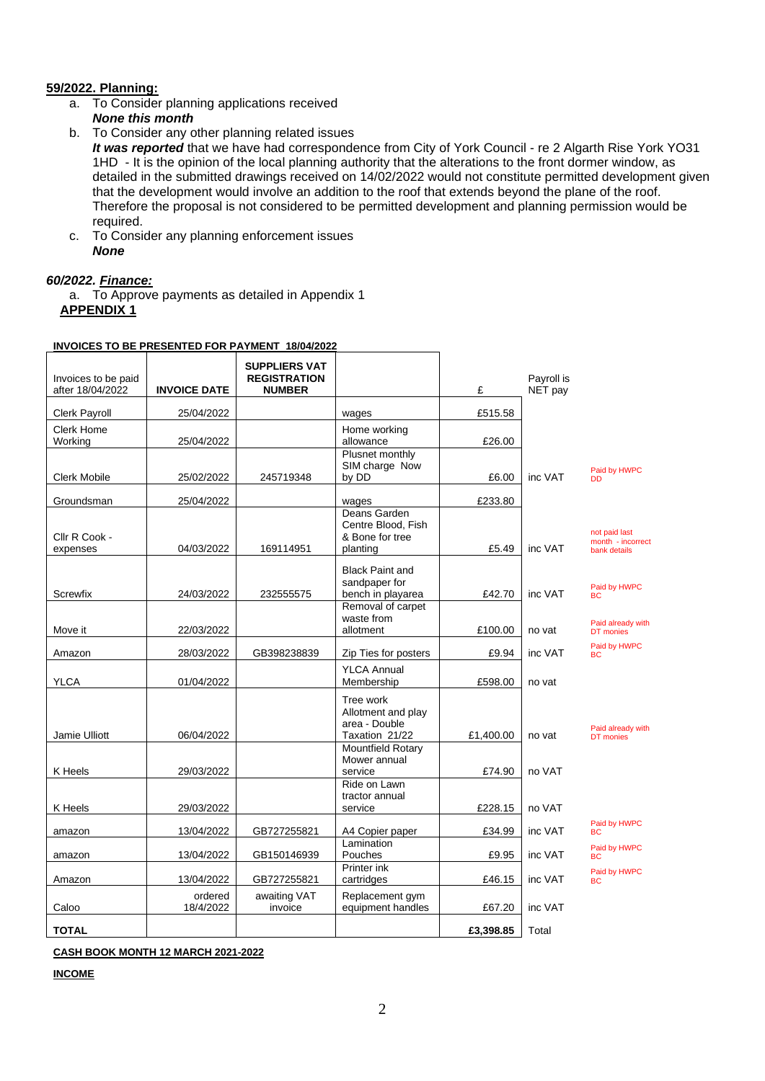### **59/2022. Planning:**

- a. To Consider planning applications received
	- *None this month*
- b. To Consider any other planning related issues

*It was reported* that we have had correspondence from City of York Council - re 2 Algarth Rise York YO31 1HD - It is the opinion of the local planning authority that the alterations to the front dormer window, as detailed in the submitted drawings received on 14/02/2022 would not constitute permitted development given that the development would involve an addition to the roof that extends beyond the plane of the roof. Therefore the proposal is not considered to be permitted development and planning permission would be required.

c. To Consider any planning enforcement issues *None*

### *60/2022. Finance:*

a. To Approve payments as detailed in Appendix 1 **APPENDIX 1**

| Invoices to be paid<br>after 18/04/2022 | <b>INVOICE DATE</b>  | <b>SUPPLIERS VAT</b><br><b>REGISTRATION</b><br><b>NUMBER</b> |                                                                    | £                 | Payroll is<br>NET pay |                                                    |
|-----------------------------------------|----------------------|--------------------------------------------------------------|--------------------------------------------------------------------|-------------------|-----------------------|----------------------------------------------------|
| Clerk Payroll                           | 25/04/2022           |                                                              | wages                                                              | £515.58           |                       |                                                    |
| Clerk Home<br>Working                   | 25/04/2022           |                                                              | Home working<br>allowance                                          | £26.00            |                       |                                                    |
| <b>Clerk Mobile</b>                     | 25/02/2022           | 245719348                                                    | Plusnet monthly<br>SIM charge Now<br>by DD                         | £6.00             | inc VAT               | Paid by HWPC<br><b>DD</b>                          |
| Groundsman                              | 25/04/2022           |                                                              | wages                                                              | £233.80           |                       |                                                    |
| Cllr R Cook -<br>expenses               | 04/03/2022           | 169114951                                                    | Deans Garden<br>Centre Blood, Fish<br>& Bone for tree<br>planting  | £5.49             | inc VAT               | not paid last<br>month - incorrect<br>bank details |
| Screwfix                                | 24/03/2022           | 232555575                                                    | <b>Black Paint and</b><br>sandpaper for<br>bench in playarea       | £42.70            | inc VAT               | Paid by HWPC<br><b>BC</b>                          |
| Move it                                 | 22/03/2022           |                                                              | Removal of carpet<br>waste from<br>allotment                       | £100.00           | no vat                | Paid already with<br>DT monies                     |
| Amazon                                  | 28/03/2022           | GB398238839                                                  | Zip Ties for posters                                               | £9.94             | inc VAT               | Paid by HWPC<br><b>BC</b>                          |
| <b>YLCA</b>                             | 01/04/2022           |                                                              | <b>YLCA Annual</b><br>Membership                                   | £598.00           | no vat                |                                                    |
| Jamie Ulliott                           | 06/04/2022           |                                                              | Tree work<br>Allotment and play<br>area - Double<br>Taxation 21/22 | £1,400.00         | no vat                | Paid already with<br>DT monies                     |
| K Heels                                 |                      |                                                              | Mountfield Rotary<br>Mower annual<br>service                       |                   | no VAT                |                                                    |
|                                         | 29/03/2022           |                                                              | Ride on Lawn<br>tractor annual                                     | £74.90<br>£228.15 | no VAT                |                                                    |
| K Heels                                 | 29/03/2022           |                                                              | service                                                            |                   |                       | Paid by HWPC                                       |
| amazon                                  | 13/04/2022           | GB727255821                                                  | A4 Copier paper<br>Lamination                                      | £34.99            | inc VAT               | <b>BC</b><br>Paid by HWPC                          |
| amazon                                  | 13/04/2022           | GB150146939                                                  | Pouches<br>Printer ink                                             | £9.95             | inc VAT               | <b>BC</b>                                          |
| Amazon                                  | 13/04/2022           | GB727255821                                                  | cartridges                                                         | £46.15            | inc VAT               | Paid by HWPC<br><b>BC</b>                          |
| Caloo                                   | ordered<br>18/4/2022 | awaiting VAT<br>invoice                                      | Replacement gym<br>equipment handles                               | £67.20            | inc VAT               |                                                    |
| <b>TOTAL</b>                            |                      |                                                              |                                                                    | £3,398.85         | Total                 |                                                    |

#### **INVOICES TO BE PRESENTED FOR PAYMENT 18/04/2022**

**CASH BOOK MONTH 12 MARCH 2021-2022**

**INCOME**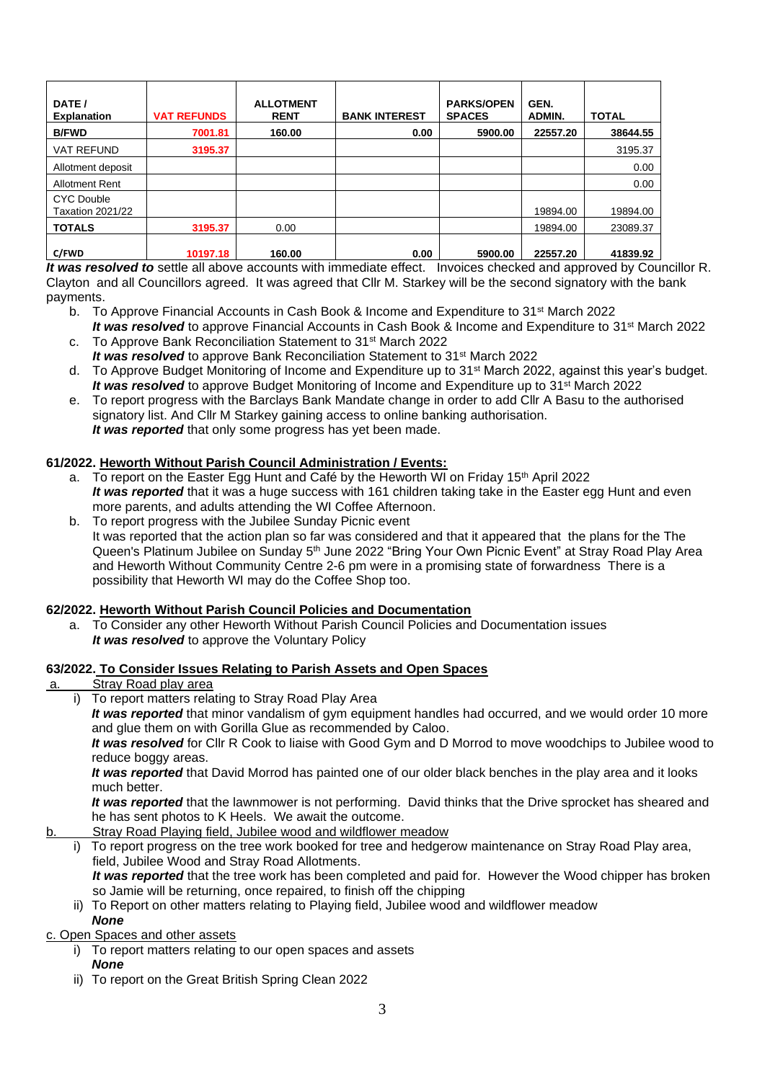| DATE /<br><b>Explanation</b>                 | <b>VAT REFUNDS</b> | <b>ALLOTMENT</b><br><b>RENT</b> | <b>BANK INTEREST</b> | <b>PARKS/OPEN</b><br><b>SPACES</b> | GEN.<br><b>ADMIN.</b> | <b>TOTAL</b> |
|----------------------------------------------|--------------------|---------------------------------|----------------------|------------------------------------|-----------------------|--------------|
| <b>B/FWD</b>                                 | 7001.81            | 160.00                          | 0.00                 | 5900.00                            | 22557.20              | 38644.55     |
| <b>VAT REFUND</b>                            | 3195.37            |                                 |                      |                                    |                       | 3195.37      |
| Allotment deposit                            |                    |                                 |                      |                                    |                       | 0.00         |
| <b>Allotment Rent</b>                        |                    |                                 |                      |                                    |                       | 0.00         |
| <b>CYC Double</b><br><b>Taxation 2021/22</b> |                    |                                 |                      |                                    | 19894.00              | 19894.00     |
| <b>TOTALS</b>                                | 3195.37            | 0.00                            |                      |                                    | 19894.00              | 23089.37     |
| C/FWD                                        | 10197.18           | 160.00                          | 0.00                 | 5900.00                            | 22557.20              | 41839.92     |

*It was resolved to* settle all above accounts with immediate effect. Invoices checked and approved by Councillor R. Clayton and all Councillors agreed. It was agreed that Cllr M. Starkey will be the second signatory with the bank payments.

- b. To Approve Financial Accounts in Cash Book & Income and Expenditure to 31<sup>st</sup> March 2022 *It was resolved* to approve Financial Accounts in Cash Book & Income and Expenditure to 31<sup>st</sup> March 2022
- c. To Approve Bank Reconciliation Statement to 31st March 2022 *It was resolved* to approve Bank Reconciliation Statement to 31<sup>st</sup> March 2022
- d. To Approve Budget Monitoring of Income and Expenditure up to 31st March 2022, against this year's budget. *It was resolved* to approve Budget Monitoring of Income and Expenditure up to 31<sup>st</sup> March 2022
- e. To report progress with the Barclays Bank Mandate change in order to add Cllr A Basu to the authorised signatory list. And Cllr M Starkey gaining access to online banking authorisation. *It was reported* that only some progress has yet been made.

## **61/2022. Heworth Without Parish Council Administration / Events:**

- a. To report on the Easter Egg Hunt and Café by the Heworth WI on Friday 15<sup>th</sup> April 2022 It was reported that it was a huge success with 161 children taking take in the Easter egg Hunt and even more parents, and adults attending the WI Coffee Afternoon.
- b. To report progress with the Jubilee Sunday Picnic event It was reported that the action plan so far was considered and that it appeared that the plans for the The Queen's Platinum Jubilee on Sunday 5th June 2022 "Bring Your Own Picnic Event" at Stray Road Play Area and Heworth Without Community Centre 2-6 pm were in a promising state of forwardness There is a possibility that Heworth WI may do the Coffee Shop too.

## **62/2022. Heworth Without Parish Council Policies and Documentation**

a. To Consider any other Heworth Without Parish Council Policies and Documentation issues *It was resolved* to approve the Voluntary Policy

### **63/2022. To Consider Issues Relating to Parish Assets and Open Spaces**

- a. Stray Road play area
	- To report matters relating to Stray Road Play Area

*It was reported* that minor vandalism of gym equipment handles had occurred, and we would order 10 more and glue them on with Gorilla Glue as recommended by Caloo.

*It was resolved* for Cllr R Cook to liaise with Good Gym and D Morrod to move woodchips to Jubilee wood to reduce boggy areas.

*It was reported* that David Morrod has painted one of our older black benches in the play area and it looks much better.

*It was reported* that the lawnmower is not performing. David thinks that the Drive sprocket has sheared and he has sent photos to K Heels. We await the outcome.

- b. Stray Road Playing field, Jubilee wood and wildflower meadow
	- i) To report progress on the tree work booked for tree and hedgerow maintenance on Stray Road Play area, field, Jubilee Wood and Stray Road Allotments. *It was reported* that the tree work has been completed and paid for. However the Wood chipper has broken so Jamie will be returning, once repaired, to finish off the chipping
		- ii) To Report on other matters relating to Playing field, Jubilee wood and wildflower meadow *None*

c. Open Spaces and other assets

- i) To report matters relating to our open spaces and assets *None*
- ii) To report on the Great British Spring Clean 2022